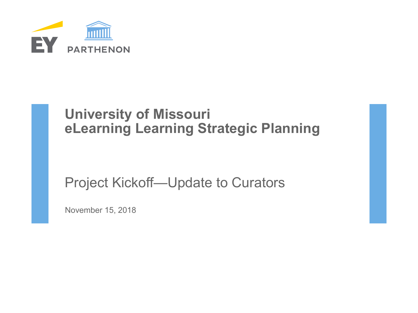

# **University of Missouri eLearning Learning Strategic Planning**

# Project Kickoff—Update to Curators

November 15, 2018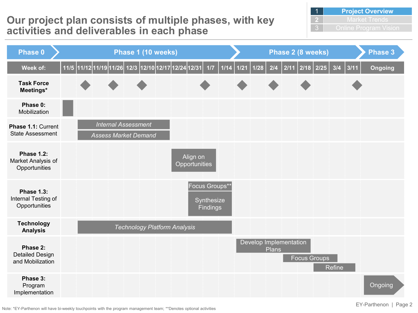## **Our project plan consists of multiple phases, with key activities and deliverables in each phase**

| <b>Project Overview</b> |
|-------------------------|
| <b>Market Trends</b>    |
| Online Program Vision   |



Note: \*EY-Parthenon will have bi-weekly touchpoints with the program management team; \*\*Denotes optional activities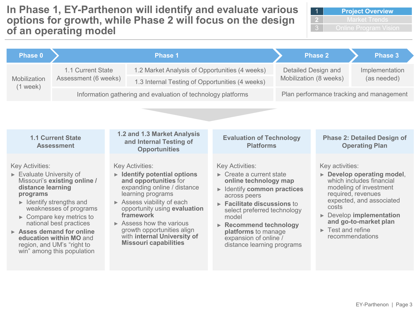**In Phase 1, EY-Parthenon will identify and evaluate various options for growth, while Phase 2 will focus on the design of an operating model**

| <b>Phase 0</b>                                                                                                                                                                                                                                                                                                                                                                                                   |                                               |  | <b>Phase 1</b>                                                                                                                                                                                                                                                                                                                                                                       |                                                                                                                                                                                                                                                                                                                                                                            |                                               | <b>Phase 2</b>                                                                                                                                                                                                                                                                                                | <b>Phase 3</b>                                                            |
|------------------------------------------------------------------------------------------------------------------------------------------------------------------------------------------------------------------------------------------------------------------------------------------------------------------------------------------------------------------------------------------------------------------|-----------------------------------------------|--|--------------------------------------------------------------------------------------------------------------------------------------------------------------------------------------------------------------------------------------------------------------------------------------------------------------------------------------------------------------------------------------|----------------------------------------------------------------------------------------------------------------------------------------------------------------------------------------------------------------------------------------------------------------------------------------------------------------------------------------------------------------------------|-----------------------------------------------|---------------------------------------------------------------------------------------------------------------------------------------------------------------------------------------------------------------------------------------------------------------------------------------------------------------|---------------------------------------------------------------------------|
| Mobilization<br>$(1$ week)                                                                                                                                                                                                                                                                                                                                                                                       | 1.1 Current State<br>Assessment (6 weeks)     |  | 1.2 Market Analysis of Opportunities (4 weeks)<br>1.3 Internal Testing of Opportunities (4 weeks)<br>Information gathering and evaluation of technology platforms                                                                                                                                                                                                                    |                                                                                                                                                                                                                                                                                                                                                                            | Detailed Design and<br>Mobilization (8 weeks) |                                                                                                                                                                                                                                                                                                               | Implementation<br>(as needed)<br>Plan performance tracking and management |
|                                                                                                                                                                                                                                                                                                                                                                                                                  |                                               |  |                                                                                                                                                                                                                                                                                                                                                                                      |                                                                                                                                                                                                                                                                                                                                                                            |                                               |                                                                                                                                                                                                                                                                                                               |                                                                           |
|                                                                                                                                                                                                                                                                                                                                                                                                                  | <b>1.1 Current State</b><br><b>Assessment</b> |  | 1.2 and 1.3 Market Analysis<br>and Internal Testing of<br><b>Opportunities</b>                                                                                                                                                                                                                                                                                                       | <b>Evaluation of Technology</b><br><b>Platforms</b>                                                                                                                                                                                                                                                                                                                        |                                               |                                                                                                                                                                                                                                                                                                               | <b>Phase 2: Detailed Design of</b><br><b>Operating Plan</b>               |
| <b>Key Activities:</b><br>$\triangleright$ Evaluate University of<br>Missouri's existing online /<br>distance learning<br>programs<br>$\triangleright$ Identify strengths and<br>weaknesses of programs<br>$\triangleright$ Compare key metrics to<br>national best practices<br>$\triangleright$ Asses demand for online<br>education within MO and<br>region, and UM's "right to<br>win" among this population |                                               |  | <b>Key Activities:</b><br>$\triangleright$ Identify potential options<br>and opportunities for<br>expanding online / distance<br>learning programs<br>$\triangleright$ Assess viability of each<br>opportunity using evaluation<br>framework<br>$\triangleright$ Assess how the various<br>growth opportunities align<br>with internal University of<br><b>Missouri capabilities</b> | <b>Key Activities:</b><br>$\triangleright$ Create a current state<br>online technology map<br>$\blacktriangleright$ Identify common practices<br>across peers<br>$\triangleright$ Facilitate discussions to<br>select preferred technology<br>model<br>$\triangleright$ Recommend technology<br>platforms to manage<br>expansion of online /<br>distance learning programs |                                               | Key activities:<br>$\triangleright$ Develop operating model,<br>which includes financial<br>modeling of investment<br>required, revenues<br>expected, and associated<br>costs<br>$\triangleright$ Develop implementation<br>and go-to-market plan<br>$\blacktriangleright$ Test and refine<br>recommendations |                                                                           |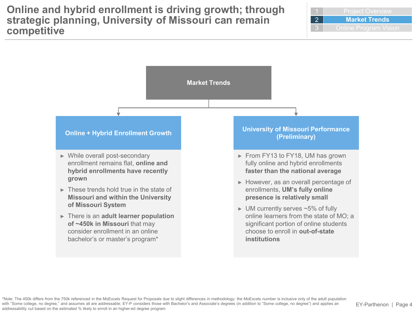

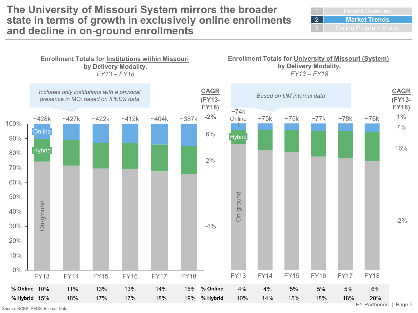### **The University of Missouri System mirrors the broader state in terms of growth in exclusively online enrollments and decline in on-ground enrollments**

2 **Market Trends**



Source: NCES IPEDS; Internal Data

EY-Parthenon | Page 5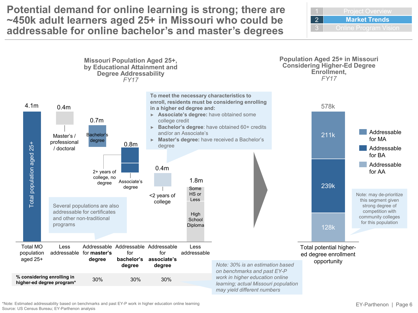**Potential demand for online learning is strong; there are ~450k adult learners aged 25+ in Missouri who could be addressable for online bachelor's and master's degrees**





\*Note: Estimated addressability based on benchmarks and past EY-P work in higher education online learning Source: US Census Bureau; EY-Parthenon analysis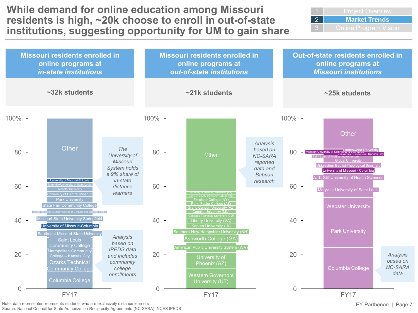**While demand for online education among Missouri residents is high, ~20k choose to enroll in out-of-state institutions, suggesting opportunity for UM to gain share** 2 **Market Trends**



Note: data represented represents students who are exclusively distance learners

Source: National Council for State Authorization Reciprocity Agreements (NC-SARA); NCES IPEDS

EY-Parthenon | Page 7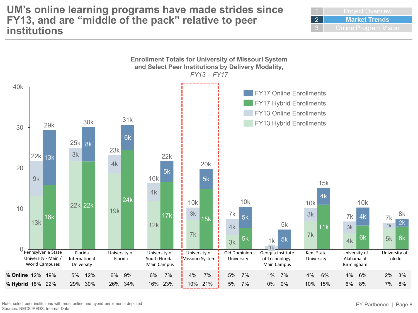#### **UM's online learning programs have made strides since FY13, and are "middle of the pack" relative to peer institutions**

2 **Market Trends**



Note: select peer institutions with most online and hybrid enrollments depicted Sources: NECS IPEDS, Internal Data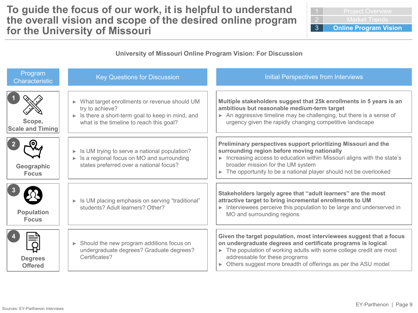### **To guide the focus of our work, it is helpful to understand the overall vision and scope of the desired online program for the University of Missouri**

| Market Trends                |
|------------------------------|
| <b>Online Program Vision</b> |

#### **University of Missouri Online Program Vision: For Discussion**

| Program<br><b>Characteristic</b>  | <b>Key Questions for Discussion</b>                                                                                                                                  | <b>Initial Perspectives from Interviews</b>                                                                                                                                                                                                                                                                       |
|-----------------------------------|----------------------------------------------------------------------------------------------------------------------------------------------------------------------|-------------------------------------------------------------------------------------------------------------------------------------------------------------------------------------------------------------------------------------------------------------------------------------------------------------------|
| Scope,<br><b>Scale and Timing</b> | What target enrollments or revenue should UM<br>try to achieve?<br>Is there a short-term goal to keep in mind, and<br>Þ.<br>what is the timeline to reach this goal? | Multiple stakeholders suggest that 25k enrollments in 5 years is an<br>ambitious but reasonable medium-term target<br>An aggressive timeline may be challenging, but there is a sense of<br>urgency given the rapidly changing competitive landscape                                                              |
| Geographic<br><b>Focus</b>        | Is UM trying to serve a national population?<br>▶<br>Is a regional focus on MO and surrounding<br>states preferred over a national focus?                            | Preliminary perspectives support prioritizing Missouri and the<br>surrounding region before moving nationally<br>Increasing access to education within Missouri aligns with the state's<br>broader mission for the UM system<br>The opportunity to be a national player should not be overlooked                  |
| <b>Population</b><br><b>Focus</b> | In Is UM placing emphasis on serving "traditional"<br>students? Adult learners? Other?                                                                               | Stakeholders largely agree that "adult learners" are the most<br>attractive target to bring incremental enrollments to UM<br>Interviewees perceive this population to be large and underserved in<br>Þ.<br>MO and surrounding regions                                                                             |
| <b>Degrees</b><br><b>Offered</b>  | Should the new program additions focus on<br>Ы<br>undergraduate degrees? Graduate degrees?<br>Certificates?                                                          | Given the target population, most interviewees suggest that a focus<br>on undergraduate degrees and certificate programs is logical<br>The population of working adults with some college credit are most<br>addressable for these programs<br>Others suggest more breadth of offerings as per the ASU model<br>ь |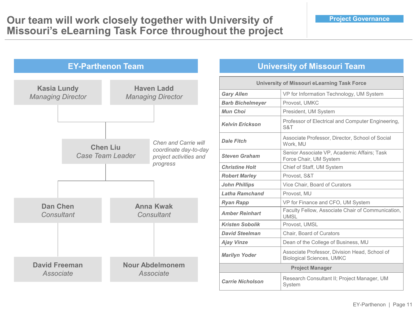

#### **University of Missouri Team**

| <b>University of Missouri eLearning Task Force</b>                               |                                                                                   |  |  |  |
|----------------------------------------------------------------------------------|-----------------------------------------------------------------------------------|--|--|--|
| <b>Gary Allen</b>                                                                | VP for Information Technology, UM System                                          |  |  |  |
| <b>Barb Bichelmeyer</b>                                                          | Provost, UMKC                                                                     |  |  |  |
| <b>Mun Choi</b>                                                                  | President, UM System                                                              |  |  |  |
| <b>Kelvin Erickson</b>                                                           | Professor of Electrical and Computer Engineering,<br>S&T                          |  |  |  |
| <b>Dale Fitch</b>                                                                | Associate Professor, Director, School of Social<br>Work. MU                       |  |  |  |
| <b>Steven Graham</b>                                                             | Senior Associate VP, Academic Affairs; Task<br>Force Chair, UM System             |  |  |  |
| <b>Christine Holt</b>                                                            | Chief of Staff, UM System                                                         |  |  |  |
| <b>Robert Marley</b>                                                             | Provost, S&T                                                                      |  |  |  |
| <b>John Phillips</b>                                                             | Vice Chair, Board of Curators                                                     |  |  |  |
| <b>Latha Ramchand</b>                                                            | Provost. MU                                                                       |  |  |  |
| <b>Ryan Rapp</b>                                                                 | VP for Finance and CFO, UM System                                                 |  |  |  |
| <b>Amber Reinhart</b>                                                            | Faculty Fellow, Associate Chair of Communication,<br><b>UMSL</b>                  |  |  |  |
| <b>Kristen Sobolik</b>                                                           | Provost, UMSL                                                                     |  |  |  |
| <b>David Steelman</b>                                                            | Chair, Board of Curators                                                          |  |  |  |
| <b>Ajay Vinze</b>                                                                | Dean of the College of Business, MU                                               |  |  |  |
| <b>Marilyn Yoder</b>                                                             | Associate Professor, Division Head, School of<br><b>Biological Sciences, UMKC</b> |  |  |  |
| <b>Project Manager</b>                                                           |                                                                                   |  |  |  |
| Research Consultant II; Project Manager, UM<br><b>Carrie Nicholson</b><br>System |                                                                                   |  |  |  |